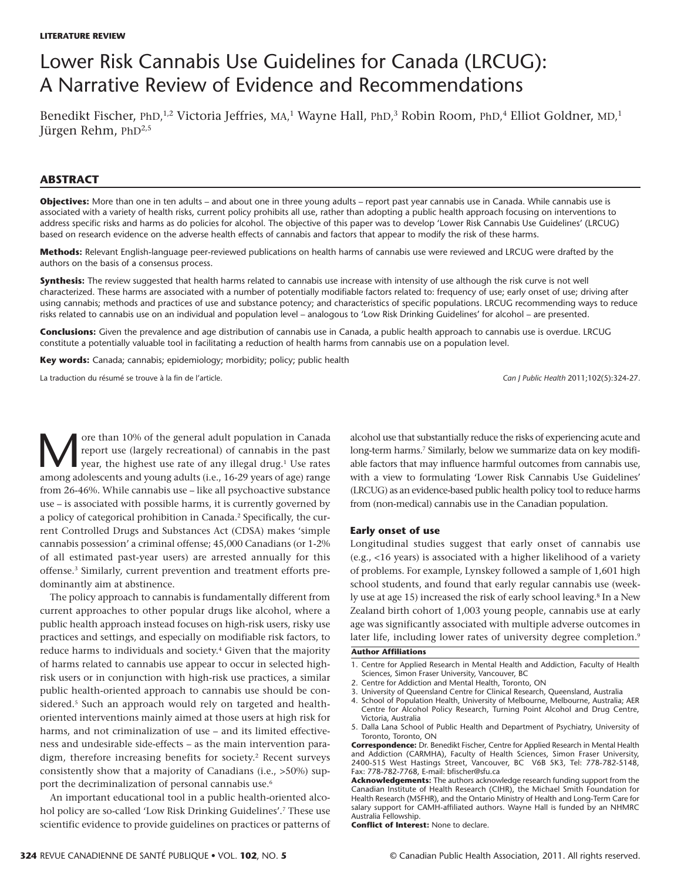# Lower Risk Cannabis Use Guidelines for Canada (LRCUG): A Narrative Review of Evidence and Recommendations

Benedikt Fischer, PhD,<sup>1,2</sup> Victoria Jeffries, MA,<sup>1</sup> Wayne Hall, PhD,<sup>3</sup> Robin Room, PhD,<sup>4</sup> Elliot Goldner, MD,<sup>1</sup> Jürgen Rehm, PhD<sup>2,5</sup>

## **ABSTRACT**

**Objectives:** More than one in ten adults – and about one in three young adults – report past year cannabis use in Canada. While cannabis use is associated with a variety of health risks, current policy prohibits all use, rather than adopting a public health approach focusing on interventions to address specific risks and harms as do policies for alcohol. The objective of this paper was to develop 'Lower Risk Cannabis Use Guidelines' (LRCUG) based on research evidence on the adverse health effects of cannabis and factors that appear to modify the risk of these harms.

**Methods:** Relevant English-language peer-reviewed publications on health harms of cannabis use were reviewed and LRCUG were drafted by the authors on the basis of a consensus process.

**Synthesis:** The review suggested that health harms related to cannabis use increase with intensity of use although the risk curve is not well characterized. These harms are associated with a number of potentially modifiable factors related to: frequency of use; early onset of use; driving after using cannabis; methods and practices of use and substance potency; and characteristics of specific populations. LRCUG recommending ways to reduce risks related to cannabis use on an individual and population level – analogous to 'Low Risk Drinking Guidelines' for alcohol – are presented.

**Conclusions:** Given the prevalence and age distribution of cannabis use in Canada, a public health approach to cannabis use is overdue. LRCUG constitute a potentially valuable tool in facilitating a reduction of health harms from cannabis use on a population level.

**Key words:** Canada; cannabis; epidemiology; morbidity; policy; public health

La traduction du résumé se trouve à la fin de l'article. *Can J Public Health* 2011;102(5):324-27.

Ore than 10% of the general adult population in Canada<br>report use (largely recreational) of cannabis in the past<br>year, the highest use rate of any illegal drug.<sup>1</sup> Use rates<br>among adolescents and young adults (i.e., 16-29 report use (largely recreational) of cannabis in the past year, the highest use rate of any illegal drug.<sup>1</sup> Use rates among adolescents and young adults (i.e., 16-29 years of age) range from 26-46%. While cannabis use – like all psychoactive substance use – is associated with possible harms, it is currently governed by a policy of categorical prohibition in Canada.2 Specifically, the current Controlled Drugs and Substances Act (CDSA) makes 'simple cannabis possession' a criminal offense; 45,000 Canadians (or 1-2% of all estimated past-year users) are arrested annually for this offense.3 Similarly, current prevention and treatment efforts predominantly aim at abstinence.

The policy approach to cannabis is fundamentally different from current approaches to other popular drugs like alcohol, where a public health approach instead focuses on high-risk users, risky use practices and settings, and especially on modifiable risk factors, to reduce harms to individuals and society.<sup>4</sup> Given that the majority of harms related to cannabis use appear to occur in selected highrisk users or in conjunction with high-risk use practices, a similar public health-oriented approach to cannabis use should be considered.<sup>5</sup> Such an approach would rely on targeted and healthoriented interventions mainly aimed at those users at high risk for harms, and not criminalization of use – and its limited effectiveness and undesirable side-effects – as the main intervention paradigm, therefore increasing benefits for society.<sup>2</sup> Recent surveys consistently show that a majority of Canadians (i.e., >50%) support the decriminalization of personal cannabis use.<sup>6</sup>

An important educational tool in a public health-oriented alcohol policy are so-called 'Low Risk Drinking Guidelines'.<sup>7</sup> These use scientific evidence to provide guidelines on practices or patterns of alcohol use that substantially reduce the risks of experiencing acute and long-term harms.<sup>7</sup> Similarly, below we summarize data on key modifiable factors that may influence harmful outcomes from cannabis use, with a view to formulating 'Lower Risk Cannabis Use Guidelines' (LRCUG) as an evidence-based public health policy tool to reduce harms from (non-medical) cannabis use in the Canadian population.

#### **Early onset of use**

Longitudinal studies suggest that early onset of cannabis use (e.g., <16 years) is associated with a higher likelihood of a variety of problems. For example, Lynskey followed a sample of 1,601 high school students, and found that early regular cannabis use (weekly use at age 15) increased the risk of early school leaving.8 In a New Zealand birth cohort of 1,003 young people, cannabis use at early age was significantly associated with multiple adverse outcomes in later life, including lower rates of university degree completion.<sup>9</sup>

#### **Author Affiliations**

- 1. Centre for Applied Research in Mental Health and Addiction, Faculty of Health Sciences, Simon Fraser University, Vancouver, BC
- 2. Centre for Addiction and Mental Health, Toronto, ON
- 3. University of Queensland Centre for Clinical Research, Queensland, Australia
- 4. School of Population Health, University of Melbourne, Melbourne, Australia; AER Centre for Alcohol Policy Research, Turning Point Alcohol and Drug Centre, Victoria, Australia
- 5. Dalla Lana School of Public Health and Department of Psychiatry, University of Toronto, Toronto, ON

**Conflict of Interest:** None to declare.

**Correspondence:** Dr. Benedikt Fischer, Centre for Applied Research in Mental Health and Addiction (CARMHA), Faculty of Health Sciences, Simon Fraser University, 2400-515 West Hastings Street, Vancouver, BC V6B 5K3, Tel: 778-782-5148, Fax: 778-782-7768, E-mail: bfischer@sfu.ca

**Acknowledgements:** The authors acknowledge research funding support from the Canadian Institute of Health Research (CIHR), the Michael Smith Foundation for Health Research (MSFHR), and the Ontario Ministry of Health and Long-Term Care for salary support for CAMH-affiliated authors. Wayne Hall is funded by an NHMRC Australia Fellowship.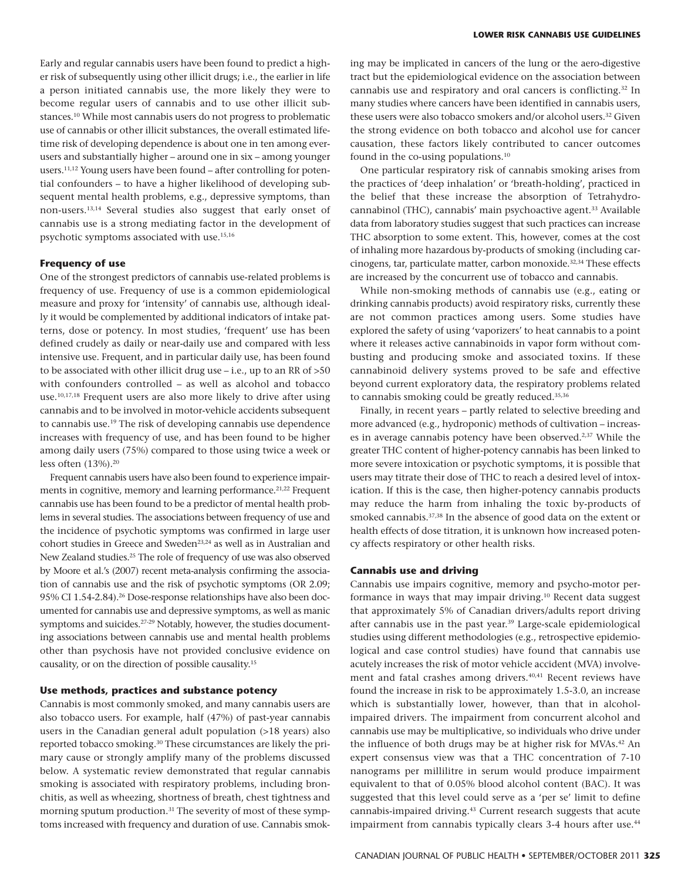Early and regular cannabis users have been found to predict a higher risk of subsequently using other illicit drugs; i.e., the earlier in life a person initiated cannabis use, the more likely they were to become regular users of cannabis and to use other illicit substances.10 While most cannabis users do not progress to problematic use of cannabis or other illicit substances, the overall estimated lifetime risk of developing dependence is about one in ten among everusers and substantially higher – around one in six – among younger users.11,12 Young users have been found – after controlling for potential confounders – to have a higher likelihood of developing subsequent mental health problems, e.g., depressive symptoms, than non-users.13,14 Several studies also suggest that early onset of cannabis use is a strong mediating factor in the development of psychotic symptoms associated with use.15,16

#### **Frequency of use**

One of the strongest predictors of cannabis use-related problems is frequency of use. Frequency of use is a common epidemiological measure and proxy for 'intensity' of cannabis use, although ideally it would be complemented by additional indicators of intake patterns, dose or potency. In most studies, 'frequent' use has been defined crudely as daily or near-daily use and compared with less intensive use. Frequent, and in particular daily use, has been found to be associated with other illicit drug use – i.e., up to an RR of >50 with confounders controlled – as well as alcohol and tobacco use.10,17,18 Frequent users are also more likely to drive after using cannabis and to be involved in motor-vehicle accidents subsequent to cannabis use.19 The risk of developing cannabis use dependence increases with frequency of use, and has been found to be higher among daily users (75%) compared to those using twice a week or less often (13%).<sup>20</sup>

Frequent cannabis users have also been found to experience impairments in cognitive, memory and learning performance.<sup>21,22</sup> Frequent cannabis use has been found to be a predictor of mental health problems in several studies. The associations between frequency of use and the incidence of psychotic symptoms was confirmed in large user cohort studies in Greece and Sweden<sup>23,24</sup> as well as in Australian and New Zealand studies.25 The role of frequency of use was also observed by Moore et al.'s (2007) recent meta-analysis confirming the association of cannabis use and the risk of psychotic symptoms (OR 2.09; 95% CI 1.54-2.84).26 Dose-response relationships have also been documented for cannabis use and depressive symptoms, as well as manic symptoms and suicides.<sup>27-29</sup> Notably, however, the studies documenting associations between cannabis use and mental health problems other than psychosis have not provided conclusive evidence on causality, or on the direction of possible causality.15

## **Use methods, practices and substance potency**

Cannabis is most commonly smoked, and many cannabis users are also tobacco users. For example, half (47%) of past-year cannabis users in the Canadian general adult population (>18 years) also reported tobacco smoking.30 These circumstances are likely the primary cause or strongly amplify many of the problems discussed below. A systematic review demonstrated that regular cannabis smoking is associated with respiratory problems, including bronchitis, as well as wheezing, shortness of breath, chest tightness and morning sputum production.<sup>31</sup> The severity of most of these symptoms increased with frequency and duration of use. Cannabis smoking may be implicated in cancers of the lung or the aero-digestive tract but the epidemiological evidence on the association between cannabis use and respiratory and oral cancers is conflicting.32 In many studies where cancers have been identified in cannabis users, these users were also tobacco smokers and/or alcohol users.<sup>32</sup> Given the strong evidence on both tobacco and alcohol use for cancer causation, these factors likely contributed to cancer outcomes found in the co-using populations.10

One particular respiratory risk of cannabis smoking arises from the practices of 'deep inhalation' or 'breath-holding', practiced in the belief that these increase the absorption of Tetrahydrocannabinol (THC), cannabis' main psychoactive agent.33 Available data from laboratory studies suggest that such practices can increase THC absorption to some extent. This, however, comes at the cost of inhaling more hazardous by-products of smoking (including carcinogens, tar, particulate matter, carbon monoxide.<sup>32,34</sup> These effects are increased by the concurrent use of tobacco and cannabis.

While non-smoking methods of cannabis use (e.g., eating or drinking cannabis products) avoid respiratory risks, currently these are not common practices among users. Some studies have explored the safety of using 'vaporizers' to heat cannabis to a point where it releases active cannabinoids in vapor form without combusting and producing smoke and associated toxins. If these cannabinoid delivery systems proved to be safe and effective beyond current exploratory data, the respiratory problems related to cannabis smoking could be greatly reduced.<sup>35,36</sup>

Finally, in recent years – partly related to selective breeding and more advanced (e.g., hydroponic) methods of cultivation – increases in average cannabis potency have been observed.2,37 While the greater THC content of higher-potency cannabis has been linked to more severe intoxication or psychotic symptoms, it is possible that users may titrate their dose of THC to reach a desired level of intoxication. If this is the case, then higher-potency cannabis products may reduce the harm from inhaling the toxic by-products of smoked cannabis.37,38 In the absence of good data on the extent or health effects of dose titration, it is unknown how increased potency affects respiratory or other health risks.

## **Cannabis use and driving**

Cannabis use impairs cognitive, memory and psycho-motor performance in ways that may impair driving.10 Recent data suggest that approximately 5% of Canadian drivers/adults report driving after cannabis use in the past year.39 Large-scale epidemiological studies using different methodologies (e.g., retrospective epidemiological and case control studies) have found that cannabis use acutely increases the risk of motor vehicle accident (MVA) involvement and fatal crashes among drivers.40,41 Recent reviews have found the increase in risk to be approximately 1.5-3.0, an increase which is substantially lower, however, than that in alcoholimpaired drivers. The impairment from concurrent alcohol and cannabis use may be multiplicative, so individuals who drive under the influence of both drugs may be at higher risk for MVAs.42 An expert consensus view was that a THC concentration of 7-10 nanograms per millilitre in serum would produce impairment equivalent to that of 0.05% blood alcohol content (BAC). It was suggested that this level could serve as a 'per se' limit to define cannabis-impaired driving.<sup>43</sup> Current research suggests that acute impairment from cannabis typically clears 3-4 hours after use.<sup>44</sup>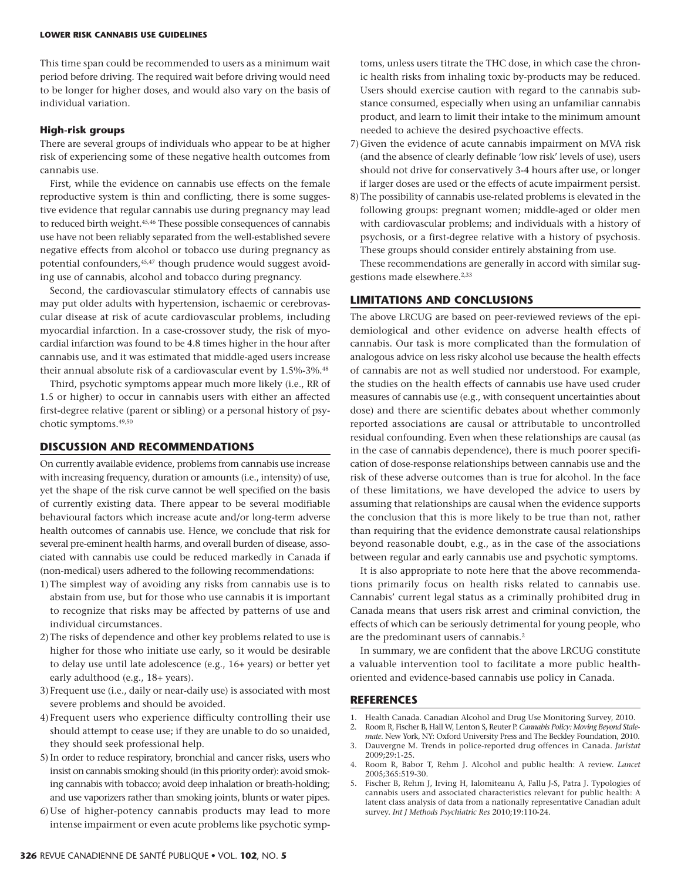This time span could be recommended to users as a minimum wait period before driving. The required wait before driving would need to be longer for higher doses, and would also vary on the basis of individual variation.

#### **High-risk groups**

There are several groups of individuals who appear to be at higher risk of experiencing some of these negative health outcomes from cannabis use.

First, while the evidence on cannabis use effects on the female reproductive system is thin and conflicting, there is some suggestive evidence that regular cannabis use during pregnancy may lead to reduced birth weight.45,46 These possible consequences of cannabis use have not been reliably separated from the well-established severe negative effects from alcohol or tobacco use during pregnancy as potential confounders,<sup>45,47</sup> though prudence would suggest avoiding use of cannabis, alcohol and tobacco during pregnancy.

Second, the cardiovascular stimulatory effects of cannabis use may put older adults with hypertension, ischaemic or cerebrovascular disease at risk of acute cardiovascular problems, including myocardial infarction. In a case-crossover study, the risk of myocardial infarction was found to be 4.8 times higher in the hour after cannabis use, and it was estimated that middle-aged users increase their annual absolute risk of a cardiovascular event by 1.5%-3%.48

Third, psychotic symptoms appear much more likely (i.e., RR of 1.5 or higher) to occur in cannabis users with either an affected first-degree relative (parent or sibling) or a personal history of psychotic symptoms.49,50

# **DISCUSSION AND RECOMMENDATIONS**

On currently available evidence, problems from cannabis use increase with increasing frequency, duration or amounts (i.e., intensity) of use, yet the shape of the risk curve cannot be well specified on the basis of currently existing data. There appear to be several modifiable behavioural factors which increase acute and/or long-term adverse health outcomes of cannabis use. Hence, we conclude that risk for several pre-eminent health harms, and overall burden of disease, associated with cannabis use could be reduced markedly in Canada if (non-medical) users adhered to the following recommendations:

- 1)The simplest way of avoiding any risks from cannabis use is to abstain from use, but for those who use cannabis it is important to recognize that risks may be affected by patterns of use and individual circumstances.
- 2)The risks of dependence and other key problems related to use is higher for those who initiate use early, so it would be desirable to delay use until late adolescence (e.g., 16+ years) or better yet early adulthood (e.g., 18+ years).
- 3)Frequent use (i.e., daily or near-daily use) is associated with most severe problems and should be avoided.
- 4)Frequent users who experience difficulty controlling their use should attempt to cease use; if they are unable to do so unaided, they should seek professional help.
- 5) In order to reduce respiratory, bronchial and cancer risks, users who insist on cannabis smoking should (in this priority order): avoid smoking cannabis with tobacco; avoid deep inhalation or breath-holding; and use vaporizers rather than smoking joints, blunts or water pipes.
- 6)Use of higher-potency cannabis products may lead to more intense impairment or even acute problems like psychotic symp-

toms, unless users titrate the THC dose, in which case the chronic health risks from inhaling toxic by-products may be reduced. Users should exercise caution with regard to the cannabis substance consumed, especially when using an unfamiliar cannabis product, and learn to limit their intake to the minimum amount needed to achieve the desired psychoactive effects.

- 7)Given the evidence of acute cannabis impairment on MVA risk (and the absence of clearly definable 'low risk' levels of use), users should not drive for conservatively 3-4 hours after use, or longer if larger doses are used or the effects of acute impairment persist.
- 8)The possibility of cannabis use-related problems is elevated in the following groups: pregnant women; middle-aged or older men with cardiovascular problems; and individuals with a history of psychosis, or a first-degree relative with a history of psychosis. These groups should consider entirely abstaining from use.

These recommendations are generally in accord with similar suggestions made elsewhere.<sup>2,33</sup>

# **LIMITATIONS AND CONCLUSIONS**

The above LRCUG are based on peer-reviewed reviews of the epidemiological and other evidence on adverse health effects of cannabis. Our task is more complicated than the formulation of analogous advice on less risky alcohol use because the health effects of cannabis are not as well studied nor understood. For example, the studies on the health effects of cannabis use have used cruder measures of cannabis use (e.g., with consequent uncertainties about dose) and there are scientific debates about whether commonly reported associations are causal or attributable to uncontrolled residual confounding. Even when these relationships are causal (as in the case of cannabis dependence), there is much poorer specification of dose-response relationships between cannabis use and the risk of these adverse outcomes than is true for alcohol. In the face of these limitations, we have developed the advice to users by assuming that relationships are causal when the evidence supports the conclusion that this is more likely to be true than not, rather than requiring that the evidence demonstrate causal relationships beyond reasonable doubt, e.g., as in the case of the associations between regular and early cannabis use and psychotic symptoms.

It is also appropriate to note here that the above recommendations primarily focus on health risks related to cannabis use. Cannabis' current legal status as a criminally prohibited drug in Canada means that users risk arrest and criminal conviction, the effects of which can be seriously detrimental for young people, who are the predominant users of cannabis.2

In summary, we are confident that the above LRCUG constitute a valuable intervention tool to facilitate a more public healthoriented and evidence-based cannabis use policy in Canada.

## **REFERENCES**

- 1. Health Canada. Canadian Alcohol and Drug Use Monitoring Survey, 2010.
- 2. Room R, Fischer B, Hall W, Lenton S, Reuter P. *Cannabis Policy: Moving Beyond Stalemate*. New York, NY: Oxford University Press and The Beckley Foundation, 2010.
- 3. Dauvergne M. Trends in police-reported drug offences in Canada. *Juristat* 2009;29:1-25.
- 4. Room R, Babor T, Rehm J. Alcohol and public health: A review. *Lancet* 2005;365:519-30.
- 5. Fischer B, Rehm J, Irving H, Ialomiteanu A, Fallu J-S, Patra J. Typologies of cannabis users and associated characteristics relevant for public health: A latent class analysis of data from a nationally representative Canadian adult survey. *Int J Methods Psychiatric Res* 2010;19:110-24.